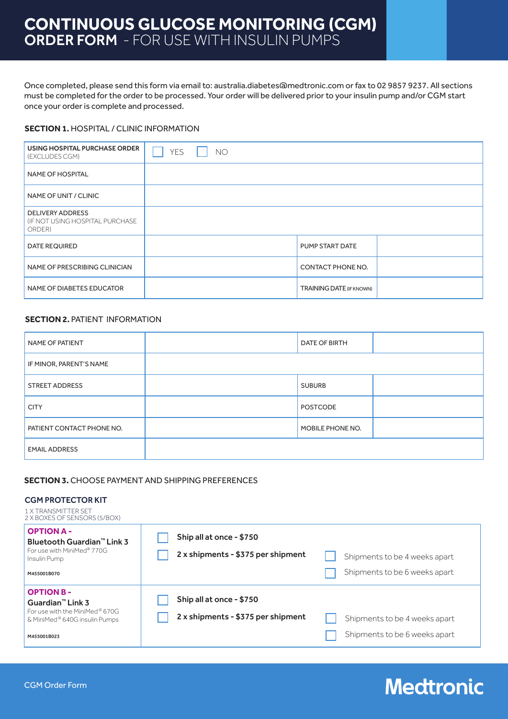### **CONTINUOUS GLUCOSE MONITORING (CGM)** ORDER FORM - FOR USE WITH INSULIN PUMPS

Once completed, please send this form via email to: australia.diabetes@medtronic.com or fax to 02 9857 9237. All sections must be completed for the order to be processed. Your order will be delivered prior to your insulin pump and/or CGM start once your order is complete and processed.

#### **SECTION 1. HOSPITAL / CLINIC INFORMATION**

| USING HOSPITAL PURCHASE ORDER<br>(EXCLUDES CGM)                       | <b>YES</b> | NO |  |                                 |  |
|-----------------------------------------------------------------------|------------|----|--|---------------------------------|--|
| <b>NAME OF HOSPITAL</b>                                               |            |    |  |                                 |  |
| NAME OF UNIT / CLINIC                                                 |            |    |  |                                 |  |
| <b>DELIVERY ADDRESS</b><br>(IF NOT USING HOSPITAL PURCHASE)<br>ORDER) |            |    |  |                                 |  |
| <b>DATE REQUIRED</b>                                                  |            |    |  | PUMP START DATE                 |  |
| NAME OF PRESCRIBING CLINICIAN                                         |            |    |  | CONTACT PHONE NO.               |  |
| NAME OF DIABETES EDUCATOR                                             |            |    |  | <b>TRAINING DATE (IF KNOWN)</b> |  |

#### **SECTION 2. PATIENT INFORMATION**

| NAME OF PATIENT           | DATE OF BIRTH    |  |
|---------------------------|------------------|--|
| IF MINOR, PARENT'S NAME   |                  |  |
| <b>STREET ADDRESS</b>     | <b>SUBURB</b>    |  |
| <b>CITY</b>               | <b>POSTCODE</b>  |  |
| PATIENT CONTACT PHONE NO. | MOBILE PHONE NO. |  |
| <b>EMAIL ADDRESS</b>      |                  |  |

#### **SECTION 3.** CHOOSE PAYMENT AND SHIPPING PREFERENCES

#### CGM PROTECTOR KIT

| <b>1 X TRANSMITTER SET</b><br>2 X BOXES OF SENSORS (5/BOX)                                                                         |                                                                |                                                                |
|------------------------------------------------------------------------------------------------------------------------------------|----------------------------------------------------------------|----------------------------------------------------------------|
| <b>OPTION A -</b><br>Bluetooth Guardian™ Link 3<br>For use with MiniMed® 770G<br>Insulin Pump<br>M455001B070                       | Ship all at once - \$750<br>2 x shipments - \$375 per shipment | Shipments to be 4 weeks apart<br>Shipments to be 6 weeks apart |
| <b>OPTION B-</b><br>Guardian <sup>™</sup> Link 3<br>For use with the MiniMed® 670G<br>& MiniMed® 640G insulin Pumps<br>M455001B023 | Ship all at once - \$750<br>2 x shipments - \$375 per shipment | Shipments to be 4 weeks apart<br>Shipments to be 6 weeks apart |

### **Medtronic**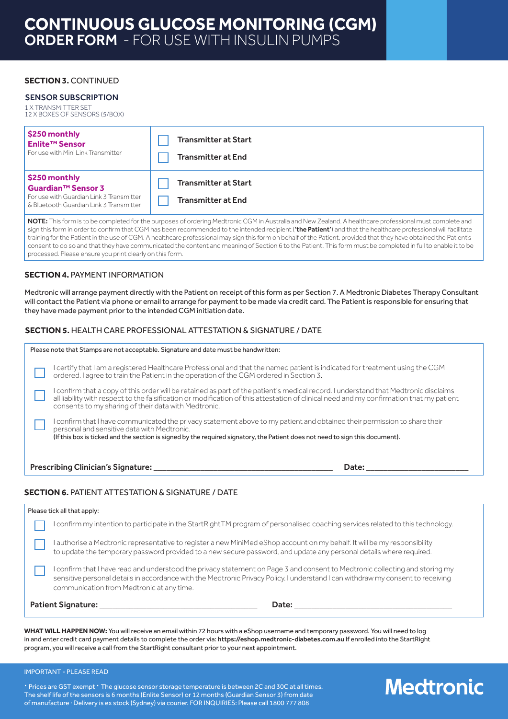#### **SECTION 3. CONTINUED**

#### SENSOR SUBSCRIPTION

1 X TRANSMITTER SET 12 X BOXES OF SENSORS (5/BOX)

| \$250 monthly<br>Enlite™ Sensor<br>For use with Mini Link Transmitter                                                        | <b>Transmitter at Start</b><br><b>Transmitter at End</b> |
|------------------------------------------------------------------------------------------------------------------------------|----------------------------------------------------------|
| \$250 monthly<br>  Guardian™ Sensor 3<br>For use with Guardian Link 3 Transmitter<br>8 Bluetooth Guardian Link 3 Transmitter | <b>Transmitter at Start</b><br><b>Transmitter at End</b> |

NOTE: This form is to be completed for the purposes of ordering Medtronic CGM in Australia and New Zealand. A healthcare professional must complete and sign this form in order to confirm that CGM has been recommended to the intended recipient ('the Patient') and that the healthcare professional will facilitate training for the Patient in the use of CGM. A healthcare professional may sign this form on behalf of the Patient, provided that they have obtained the Patient's consent to do so and that they have communicated the content and meaning of Section 6 to the Patient. This form must be completed in full to enable it to be processed. Please ensure you print clearly on this form.

#### **SECTION 4. PAYMENT INFORMATION**

Medtronic will arrange payment directly with the Patient on receipt of this form as per Section 7. A Medtronic Diabetes Therapy Consultant will contact the Patient via phone or email to arrange for payment to be made via credit card. The Patient is responsible for ensuring that they have made payment prior to the intended CGM initiation date.

#### **SECTION 5.** HEALTH CARE PROFESSIONAL ATTESTATION & SIGNATURE / DATE

|                                                                                                                                                                                                                                                                                                           | Please note that Stamps are not acceptable. Signature and date must be handwritten:                                                                                                                                                                                                                                                     |
|-----------------------------------------------------------------------------------------------------------------------------------------------------------------------------------------------------------------------------------------------------------------------------------------------------------|-----------------------------------------------------------------------------------------------------------------------------------------------------------------------------------------------------------------------------------------------------------------------------------------------------------------------------------------|
|                                                                                                                                                                                                                                                                                                           | I certify that I am a registered Healthcare Professional and that the named patient is indicated for treatment using the CGM<br>ordered. I agree to train the Patient in the operation of the CGM ordered in Section 3.                                                                                                                 |
|                                                                                                                                                                                                                                                                                                           | I confirm that a copy of this order will be retained as part of the patient's medical record. I understand that Medtronic disclaims<br>all liability with respect to the falsification or modification of this attestation of clinical need and my confirmation that my patient<br>consents to my sharing of their data with Medtronic. |
| I confirm that I have communicated the privacy statement above to my patient and obtained their permission to share their<br>personal and sensitive data with Medtronic.<br>(If this box is ticked and the section is signed by the required signatory, the Patient does not need to sign this document). |                                                                                                                                                                                                                                                                                                                                         |
|                                                                                                                                                                                                                                                                                                           | Prescribing Clinician's Signature:<br>Date:                                                                                                                                                                                                                                                                                             |

#### **SECTION 6.** PATIENT ATTESTATION & SIGNATURE / DATE

| Please tick all that apply: |                                                                                                                                                                                                                                                                                                              |  |
|-----------------------------|--------------------------------------------------------------------------------------------------------------------------------------------------------------------------------------------------------------------------------------------------------------------------------------------------------------|--|
|                             | I confirm my intention to participate in the StartRightTM program of personalised coaching services related to this technology.                                                                                                                                                                              |  |
|                             | I authorise a Medtronic representative to register a new MiniMed eShop account on my behalf. It will be my responsibility<br>to update the temporary password provided to a new secure password, and update any personal details where required.                                                             |  |
|                             | I confirm that I have read and understood the privacy statement on Page 3 and consent to Medtronic collecting and storing my<br>sensitive personal details in accordance with the Medtronic Privacy Policy. I understand I can withdraw my consent to receiving<br>communication from Medtronic at any time. |  |
|                             | <b>Patient Signature:</b><br>Date: the contract of the contract of the contract of the contract of the contract of the contract of the contract of the contract of the contract of the contract of the contract of the contract of the contract of the cont                                                  |  |

**WHAT WILL HAPPEN NOW:** You will receive an email within 72 hours with a eShop username and temporary password. You will need to log in and enter credit card payment details to complete the order via: https://eshop.medtronic-diabetes.com.au If enrolled into the StartRight program, you will receive a call from the StartRight consultant prior to your next appointment.

#### IMPORTANT - PLEASE READ

· Prices are GST exempt · The glucose sensor storage temperature is between 2C and 30C at all times. The shelf life of the sensors is 6 months (Enlite Sensor) or 12 months (Guardian Sensor 3) from date of manufacture · Delivery is ex stock (Sydney) via courier. FOR INQUIRIES: Please call 1800 777 808

# **Medtronic**